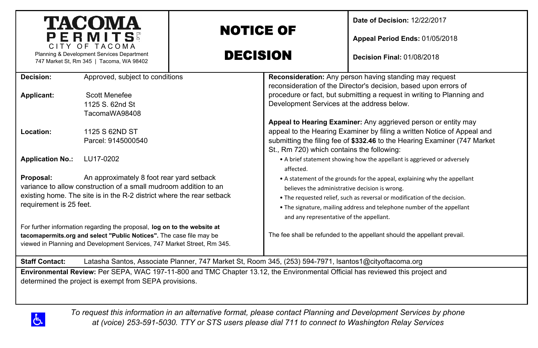| <b>TACOMA</b><br>PERMITS<br>CITY OF TACOMA                                                                                                                                                                                     |                                                   | <b>NOTICE OF</b>                                                                                                                                                                                                                                                     |                                                                                                                                                                                                                                                                                                                                | Date of Decision: 12/22/2017<br>Appeal Period Ends: 01/05/2018                                                                     |
|--------------------------------------------------------------------------------------------------------------------------------------------------------------------------------------------------------------------------------|---------------------------------------------------|----------------------------------------------------------------------------------------------------------------------------------------------------------------------------------------------------------------------------------------------------------------------|--------------------------------------------------------------------------------------------------------------------------------------------------------------------------------------------------------------------------------------------------------------------------------------------------------------------------------|------------------------------------------------------------------------------------------------------------------------------------|
| Planning & Development Services Department<br>747 Market St, Rm 345   Tacoma, WA 98402                                                                                                                                         |                                                   | <b>DECISION</b>                                                                                                                                                                                                                                                      |                                                                                                                                                                                                                                                                                                                                | <b>Decision Final: 01/08/2018</b>                                                                                                  |
| Decision:                                                                                                                                                                                                                      | Approved, subject to conditions                   |                                                                                                                                                                                                                                                                      |                                                                                                                                                                                                                                                                                                                                | <b>Reconsideration:</b> Any person having standing may request<br>reconsideration of the Director's decision, based upon errors of |
| Applicant:                                                                                                                                                                                                                     | Scott Menefee<br>1125 S. 62nd St<br>TacomaWA98408 |                                                                                                                                                                                                                                                                      | procedure or fact, but submitting a request in writing to Planning and<br>Development Services at the address below.                                                                                                                                                                                                           |                                                                                                                                    |
| Location:                                                                                                                                                                                                                      | 1125 S 62ND ST<br>Parcel: 9145000540              | Appeal to Hearing Examiner: Any aggrieved person or entity may<br>appeal to the Hearing Examiner by filing a written Notice of Appeal and<br>submitting the filing fee of \$332.46 to the Hearing Examiner (747 Market<br>St., Rm 720) which contains the following: |                                                                                                                                                                                                                                                                                                                                |                                                                                                                                    |
| <b>Application No.:</b>                                                                                                                                                                                                        | LU17-0202                                         |                                                                                                                                                                                                                                                                      | • A brief statement showing how the appellant is aggrieved or adversely<br>affected.                                                                                                                                                                                                                                           |                                                                                                                                    |
| An approximately 8 foot rear yard setback<br>Proposal:<br>variance to allow construction of a small mudroom addition to an<br>existing home. The site is in the R-2 district where the rear setback<br>requirement is 25 feet. |                                                   |                                                                                                                                                                                                                                                                      | • A statement of the grounds for the appeal, explaining why the appellant<br>believes the administrative decision is wrong.<br>• The requested relief, such as reversal or modification of the decision.<br>• The signature, mailing address and telephone number of the appellant<br>and any representative of the appellant. |                                                                                                                                    |
| For further information regarding the proposal, log on to the website at<br>tacomapermits.org and select "Public Notices". The case file may be<br>viewed in Planning and Development Services, 747 Market Street, Rm 345.     |                                                   |                                                                                                                                                                                                                                                                      | The fee shall be refunded to the appellant should the appellant prevail.                                                                                                                                                                                                                                                       |                                                                                                                                    |
| Latasha Santos, Associate Planner, 747 Market St, Room 345, (253) 594-7971, Isantos1@cityoftacoma.org<br><b>Staff Contact:</b>                                                                                                 |                                                   |                                                                                                                                                                                                                                                                      |                                                                                                                                                                                                                                                                                                                                |                                                                                                                                    |
| Environmental Review: Per SEPA, WAC 197-11-800 and TMC Chapter 13.12, the Environmental Official has reviewed this project and<br>determined the project is exempt from SEPA provisions.                                       |                                                   |                                                                                                                                                                                                                                                                      |                                                                                                                                                                                                                                                                                                                                |                                                                                                                                    |

 $\Delta$ 

*To request this information in an alternative format, please contact Planning and Development Services by phone at (voice) 253-591-5030. TTY or STS users please dial 711 to connect to Washington Relay Services*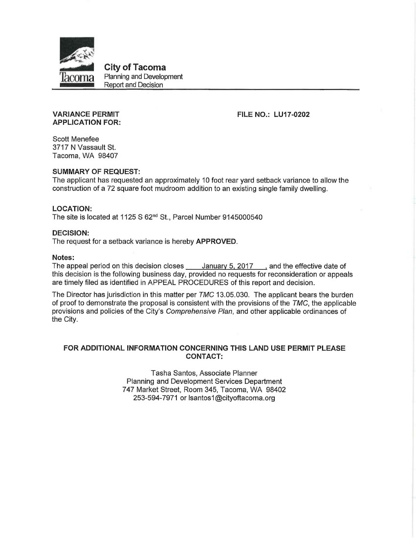

**City of Tacoma** Planning and Development Report and Decision

## **FILE NO.: LU17-0202**

**APPLICATION FOR:** 

**VARIANCE PERMIT** 

**Scott Menefee** 3717 N Vassault St. Tacoma, WA 98407

#### **SUMMARY OF REQUEST:**

The applicant has requested an approximately 10 foot rear yard setback variance to allow the construction of a 72 square foot mudroom addition to an existing single family dwelling.

#### **LOCATION:**

The site is located at 1125 S 62<sup>nd</sup> St., Parcel Number 9145000540

#### **DECISION:**

The request for a setback variance is hereby APPROVED.

#### Notes:

The appeal period on this decision closes \_\_\_\_\_ January 5, 2017 \_\_\_, and the effective date of this decision is the following business day, provided no requests for reconsideration or appeals are timely filed as identified in APPEAL PROCEDURES of this report and decision.

The Director has jurisdiction in this matter per TMC 13.05.030. The applicant bears the burden of proof to demonstrate the proposal is consistent with the provisions of the TMC, the applicable provisions and policies of the City's Comprehensive Plan, and other applicable ordinances of the City.

### FOR ADDITIONAL INFORMATION CONCERNING THIS LAND USE PERMIT PLEASE **CONTACT:**

Tasha Santos, Associate Planner Planning and Development Services Department 747 Market Street, Room 345, Tacoma, WA 98402 253-594-7971 or lsantos1@cityoftacoma.org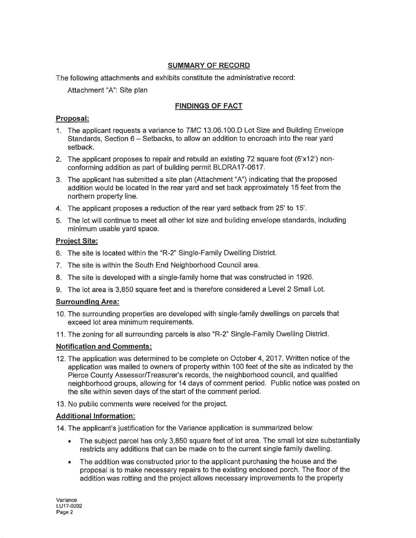## **SUMMARY OF RECORD**

The following attachments and exhibits constitute the administrative record:

Attachment "A": Site plan

# **FINDINGS OF FACT**

## Proposal:

- 1. The applicant requests a variance to TMC 13.06.100.D Lot Size and Building Envelope Standards, Section 6 – Setbacks, to allow an addition to encroach into the rear yard setback.
- 2. The applicant proposes to repair and rebuild an existing 72 square foot (6'x12') nonconforming addition as part of building permit BLDRA17-0617.
- 3. The applicant has submitted a site plan (Attachment "A") indicating that the proposed addition would be located in the rear yard and set back approximately 15 feet from the northern property line.
- 4. The applicant proposes a reduction of the rear yard setback from 25' to 15'.
- 5. The lot will continue to meet all other lot size and building envelope standards, including minimum usable yard space.

## **Project Site:**

- 6. The site is located within the "R-2" Single-Family Dwelling District.
- 7. The site is within the South End Neighborhood Council area.
- 8. The site is developed with a single-family home that was constructed in 1926.
- 9. The lot area is 3,850 square feet and is therefore considered a Level 2 Small Lot.

## **Surrounding Area:**

- 10. The surrounding properties are developed with single-family dwellings on parcels that exceed lot area minimum requirements.
- 11. The zoning for all surrounding parcels is also "R-2" Single-Family Dwelling District.

## **Notification and Comments:**

- 12. The application was determined to be complete on October 4, 2017. Written notice of the application was mailed to owners of property within 100 feet of the site as indicated by the Pierce County Assessor/Treasurer's records, the neighborhood council, and qualified neighborhood groups, allowing for 14 days of comment period. Public notice was posted on the site within seven days of the start of the comment period.
- 13. No public comments were received for the project.

## **Additional Information:**

14. The applicant's justification for the Variance application is summarized below:

- The subject parcel has only 3,850 square feet of lot area. The small lot size substantially restricts any additions that can be made on to the current single family dwelling.
- The addition was constructed prior to the applicant purchasing the house and the  $\bullet$ proposal is to make necessary repairs to the existing enclosed porch. The floor of the addition was rotting and the project allows necessary improvements to the property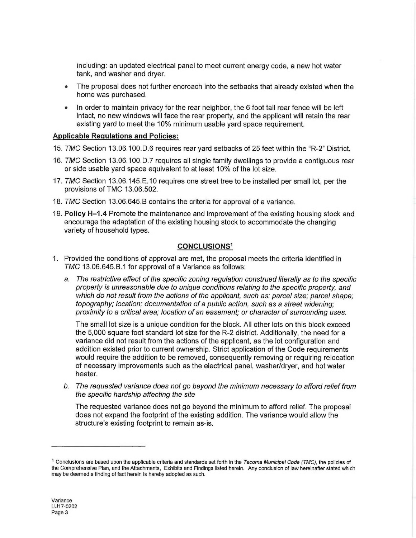including: an updated electrical panel to meet current energy code, a new hot water tank, and washer and dryer.

- The proposal does not further encroach into the setbacks that already existed when the home was purchased.
- In order to maintain privacy for the rear neighbor, the 6 foot tall rear fence will be left intact, no new windows will face the rear property, and the applicant will retain the rear existing yard to meet the 10% minimum usable yard space requirement.

### **Applicable Regulations and Policies:**

- 15. TMC Section 13.06.100.D.6 requires rear yard setbacks of 25 feet within the "R-2" District.
- 16. TMC Section 13.06.100.D.7 requires all single family dwellings to provide a contiguous rear or side usable yard space equivalent to at least 10% of the lot size.
- 17. TMC Section 13.06.145.E.10 requires one street tree to be installed per small lot, per the provisions of TMC 13.06.502.
- 18. TMC Section 13.06.645.B contains the criteria for approval of a variance.
- 19. Policy H-1.4 Promote the maintenance and improvement of the existing housing stock and encourage the adaptation of the existing housing stock to accommodate the changing variety of household types.

### **CONCLUSIONS1**

- 1. Provided the conditions of approval are met, the proposal meets the criteria identified in TMC 13.06.645.B.1 for approval of a Variance as follows:
	- a. The restrictive effect of the specific zoning regulation construed literally as to the specific property is unreasonable due to unique conditions relating to the specific property, and which do not result from the actions of the applicant, such as: parcel size; parcel shape; topography; location; documentation of a public action, such as a street widening; proximity to a critical area; location of an easement; or character of surrounding uses.

The small lot size is a unique condition for the block. All other lots on this block exceed the 5,000 square foot standard lot size for the R-2 district. Additionally, the need for a variance did not result from the actions of the applicant, as the lot configuration and addition existed prior to current ownership. Strict application of the Code requirements would require the addition to be removed, consequently removing or requiring relocation of necessary improvements such as the electrical panel, washer/dryer, and hot water heater.

b. The requested variance does not go beyond the minimum necessary to afford relief from the specific hardship affecting the site

The requested variance does not go beyond the minimum to afford relief. The proposal does not expand the footprint of the existing addition. The variance would allow the structure's existing footprint to remain as-is.

<sup>&</sup>lt;sup>1</sup> Conclusions are based upon the applicable criteria and standards set forth in the Tacoma Municipal Code (TMC), the policies of the Comprehensive Plan, and the Attachments, Exhibits and Findings listed herein. Any conclusion of law hereinafter stated which may be deemed a finding of fact herein is hereby adopted as such.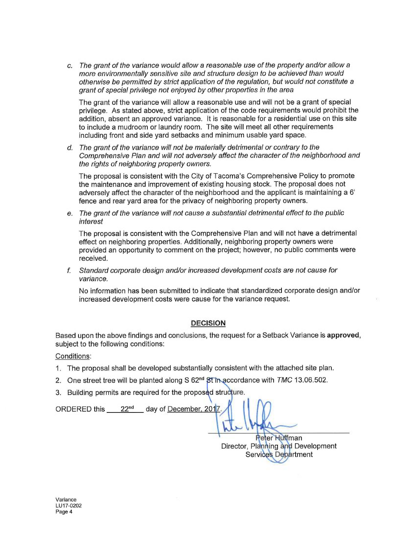c. The grant of the variance would allow a reasonable use of the property and/or allow a more environmentally sensitive site and structure design to be achieved than would otherwise be permitted by strict application of the regulation, but would not constitute a grant of special privilege not enjoyed by other properties in the area

The grant of the variance will allow a reasonable use and will not be a grant of special privilege. As stated above, strict application of the code requirements would prohibit the addition, absent an approved variance. It is reasonable for a residential use on this site to include a mudroom or laundry room. The site will meet all other requirements including front and side yard setbacks and minimum usable yard space.

d. The grant of the variance will not be materially detrimental or contrary to the Comprehensive Plan and will not adversely affect the character of the neighborhood and the rights of neighboring property owners.

The proposal is consistent with the City of Tacoma's Comprehensive Policy to promote the maintenance and improvement of existing housing stock. The proposal does not adversely affect the character of the neighborhood and the applicant is maintaining a 6' fence and rear vard area for the privacy of neighboring property owners.

e. The grant of the variance will not cause a substantial detrimental effect to the public interest

The proposal is consistent with the Comprehensive Plan and will not have a detrimental effect on neighboring properties. Additionally, neighboring property owners were provided an opportunity to comment on the project; however, no public comments were received.

Standard corporate design and/or increased development costs are not cause for  $f_{\cdot}$ variance.

No information has been submitted to indicate that standardized corporate design and/or increased development costs were cause for the variance request.

## **DECISION**

Based upon the above findings and conclusions, the request for a Setback Variance is approved, subject to the following conditions:

### Conditions:

- 1. The proposal shall be developed substantially consistent with the attached site plan.
- 2. One street tree will be planted along S  $62<sup>nd</sup>$  St In accordance with TMC 13.06.502.
- 3. Building permits are required for the proposed structure.

ORDERED this 22<sup>nd</sup> day of December, 2017

**Peter Huffman** Director, Planning and Development Services Department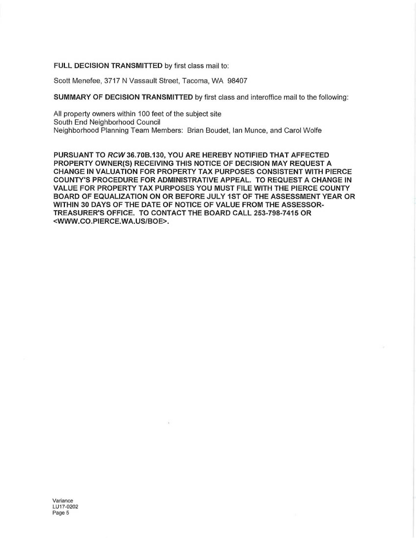#### FULL DECISION TRANSMITTED by first class mail to:

Scott Menefee, 3717 N Vassault Street, Tacoma, WA 98407

SUMMARY OF DECISION TRANSMITTED by first class and interoffice mail to the following:

All property owners within 100 feet of the subject site South End Neighborhood Council Neighborhood Planning Team Members: Brian Boudet, Ian Munce, and Carol Wolfe

PURSUANT TO RCW 36.70B.130, YOU ARE HEREBY NOTIFIED THAT AFFECTED PROPERTY OWNER(S) RECEIVING THIS NOTICE OF DECISION MAY REQUEST A CHANGE IN VALUATION FOR PROPERTY TAX PURPOSES CONSISTENT WITH PIERCE COUNTY'S PROCEDURE FOR ADMINISTRATIVE APPEAL. TO REQUEST A CHANGE IN VALUE FOR PROPERTY TAX PURPOSES YOU MUST FILE WITH THE PIERCE COUNTY BOARD OF EQUALIZATION ON OR BEFORE JULY 1ST OF THE ASSESSMENT YEAR OR WITHIN 30 DAYS OF THE DATE OF NOTICE OF VALUE FROM THE ASSESSOR-TREASURER'S OFFICE. TO CONTACT THE BOARD CALL 253-798-7415 OR <WWW.CO.PIERCE.WA.US/BOE>.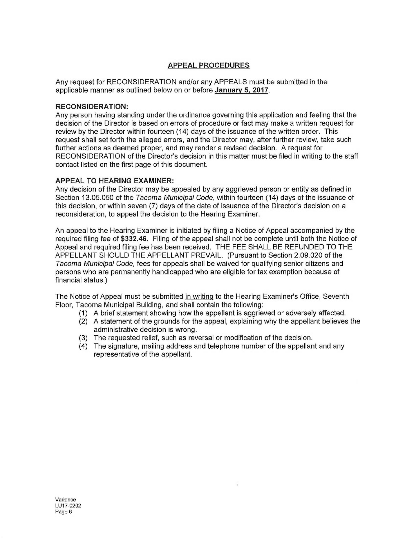# **APPEAL PROCEDURES**

Any request for RECONSIDERATION and/or any APPEALS must be submitted in the applicable manner as outlined below on or before January 5, 2017.

### **RECONSIDERATION:**

Any person having standing under the ordinance governing this application and feeling that the decision of the Director is based on errors of procedure or fact may make a written request for review by the Director within fourteen (14) days of the issuance of the written order. This request shall set forth the alleged errors, and the Director may, after further review, take such further actions as deemed proper, and may render a revised decision. A request for RECONSIDERATION of the Director's decision in this matter must be filed in writing to the staff contact listed on the first page of this document.

### **APPEAL TO HEARING EXAMINER:**

Any decision of the Director may be appealed by any aggrieved person or entity as defined in Section 13.05.050 of the Tacoma Municipal Code, within fourteen (14) days of the issuance of this decision, or within seven (7) days of the date of issuance of the Director's decision on a reconsideration, to appeal the decision to the Hearing Examiner.

An appeal to the Hearing Examiner is initiated by filing a Notice of Appeal accompanied by the required filing fee of \$332.46. Filing of the appeal shall not be complete until both the Notice of Appeal and required filing fee has been received. THE FEE SHALL BE REFUNDED TO THE APPELLANT SHOULD THE APPELLANT PREVAIL. (Pursuant to Section 2.09.020 of the Tacoma Municipal Code, fees for appeals shall be waived for qualifying senior citizens and persons who are permanently handicapped who are eligible for tax exemption because of financial status.)

The Notice of Appeal must be submitted in writing to the Hearing Examiner's Office, Seventh Floor, Tacoma Municipal Building, and shall contain the following:

- (1) A brief statement showing how the appellant is aggrieved or adversely affected.
- (2) A statement of the grounds for the appeal, explaining why the appellant believes the administrative decision is wrong.
- (3) The requested relief, such as reversal or modification of the decision.
- (4) The signature, mailing address and telephone number of the appellant and any representative of the appellant.